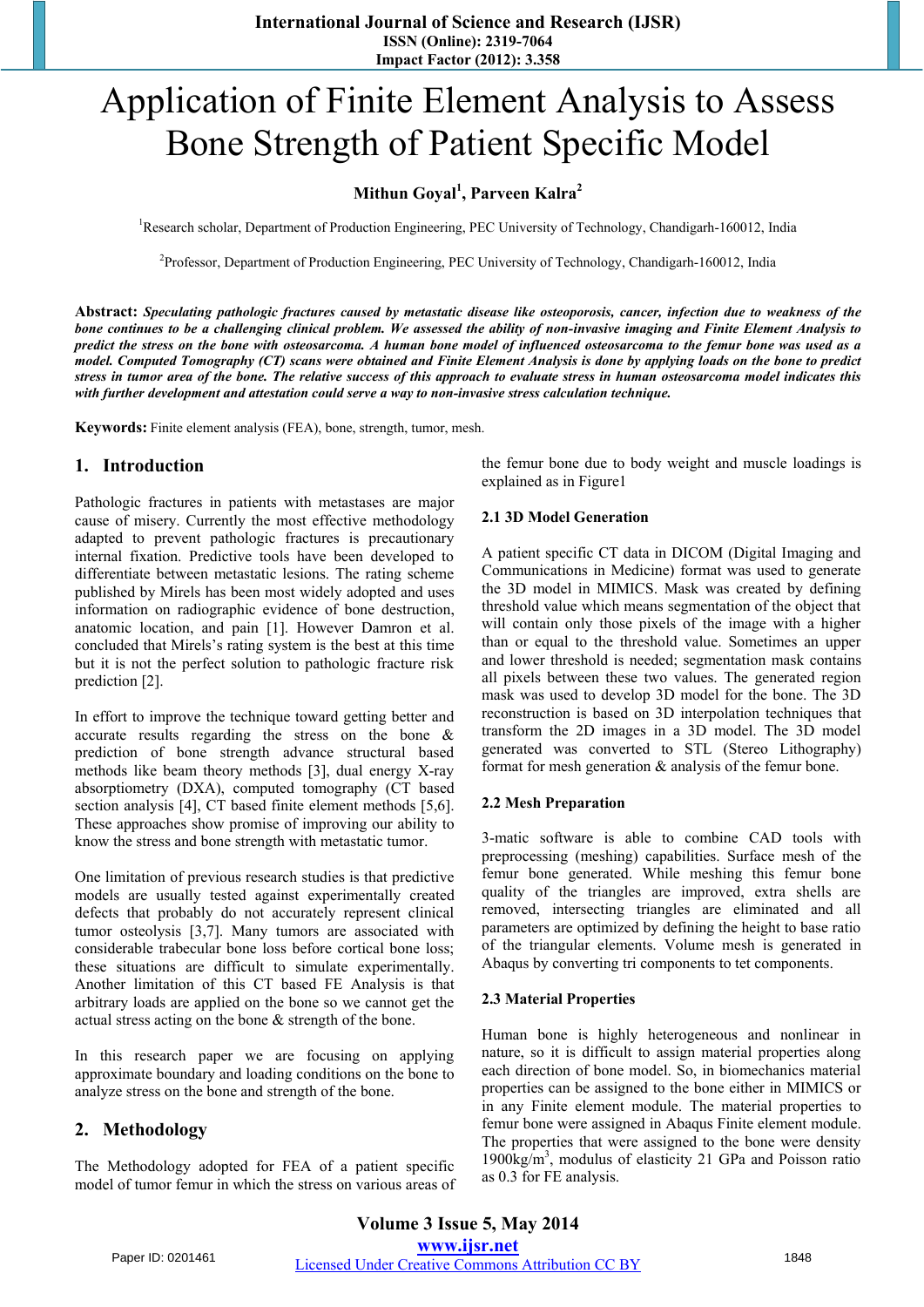# Application of Finite Element Analysis to Assess Bone Strength of Patient Specific Model

# **Mithun Goyal<sup>1</sup> , Parveen Kalra<sup>2</sup>**

<sup>1</sup>Research scholar, Department of Production Engineering, PEC University of Technology, Chandigarh-160012, India

<sup>2</sup>Professor, Department of Production Engineering, PEC University of Technology, Chandigarh-160012, India

**Abstract:** *Speculating pathologic fractures caused by metastatic disease like osteoporosis, cancer, infection due to weakness of the bone continues to be a challenging clinical problem. We assessed the ability of non-invasive imaging and Finite Element Analysis to predict the stress on the bone with osteosarcoma. A human bone model of influenced osteosarcoma to the femur bone was used as a model. Computed Tomography (CT) scans were obtained and Finite Element Analysis is done by applying loads on the bone to predict stress in tumor area of the bone. The relative success of this approach to evaluate stress in human osteosarcoma model indicates this with further development and attestation could serve a way to non-invasive stress calculation technique.* 

**Keywords:** Finite element analysis (FEA), bone, strength, tumor, mesh.

## **1. Introduction**

Pathologic fractures in patients with metastases are major cause of misery. Currently the most effective methodology adapted to prevent pathologic fractures is precautionary internal fixation. Predictive tools have been developed to differentiate between metastatic lesions. The rating scheme published by Mirels has been most widely adopted and uses information on radiographic evidence of bone destruction, anatomic location, and pain [1]. However Damron et al. concluded that Mirels's rating system is the best at this time but it is not the perfect solution to pathologic fracture risk prediction [2].

In effort to improve the technique toward getting better and accurate results regarding the stress on the bone & prediction of bone strength advance structural based methods like beam theory methods [3], dual energy X-ray absorptiometry (DXA), computed tomography (CT based section analysis [4], CT based finite element methods [5,6]. These approaches show promise of improving our ability to know the stress and bone strength with metastatic tumor.

One limitation of previous research studies is that predictive models are usually tested against experimentally created defects that probably do not accurately represent clinical tumor osteolysis [3,7]. Many tumors are associated with considerable trabecular bone loss before cortical bone loss; these situations are difficult to simulate experimentally. Another limitation of this CT based FE Analysis is that arbitrary loads are applied on the bone so we cannot get the actual stress acting on the bone & strength of the bone.

In this research paper we are focusing on applying approximate boundary and loading conditions on the bone to analyze stress on the bone and strength of the bone.

# **2. Methodology**

The Methodology adopted for FEA of a patient specific model of tumor femur in which the stress on various areas of the femur bone due to body weight and muscle loadings is explained as in Figure1

#### **2.1 3D Model Generation**

A patient specific CT data in DICOM (Digital Imaging and Communications in Medicine) format was used to generate the 3D model in MIMICS. Mask was created by defining threshold value which means segmentation of the object that will contain only those pixels of the image with a higher than or equal to the threshold value. Sometimes an upper and lower threshold is needed; segmentation mask contains all pixels between these two values. The generated region mask was used to develop 3D model for the bone. The 3D reconstruction is based on 3D interpolation techniques that transform the 2D images in a 3D model. The 3D model generated was converted to STL (Stereo Lithography) format for mesh generation & analysis of the femur bone.

#### **2.2 Mesh Preparation**

3-matic software is able to combine CAD tools with preprocessing (meshing) capabilities. Surface mesh of the femur bone generated. While meshing this femur bone quality of the triangles are improved, extra shells are removed, intersecting triangles are eliminated and all parameters are optimized by defining the height to base ratio of the triangular elements. Volume mesh is generated in Abaqus by converting tri components to tet components.

#### **2.3 Material Properties**

Human bone is highly heterogeneous and nonlinear in nature, so it is difficult to assign material properties along each direction of bone model. So, in biomechanics material properties can be assigned to the bone either in MIMICS or in any Finite element module. The material properties to femur bone were assigned in Abaqus Finite element module. The properties that were assigned to the bone were density 1900kg/m3 , modulus of elasticity 21 GPa and Poisson ratio as 0.3 for FE analysis.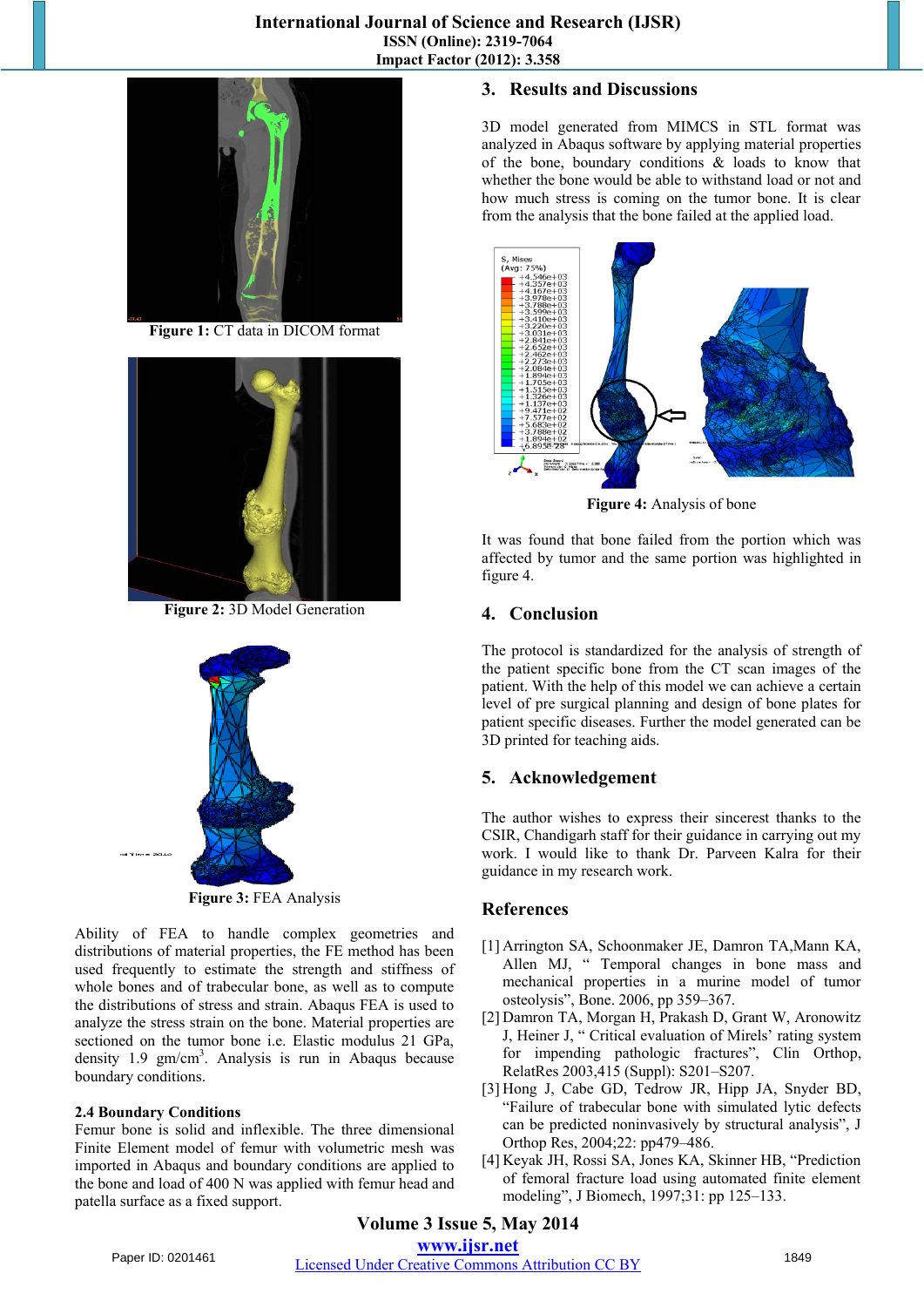

**Figure 1:** CT data in DICOM format



**Figure 2:** 3D Model Generation



**Figure 3:** FEA Analysis

Ability of FEA to handle complex geometries and distributions of material properties, the FE method has been used frequently to estimate the strength and stiffness of whole bones and of trabecular bone, as well as to compute the distributions of stress and strain. Abaqus FEA is used to analyze the stress strain on the bone. Material properties are sectioned on the tumor bone i.e. Elastic modulus 21 GPa, density  $1.9 \text{ gm/cm}^3$ . Analysis is run in Abaqus because boundary conditions.

#### **2.4 Boundary Conditions**

Femur bone is solid and inflexible. The three dimensional Finite Element model of femur with volumetric mesh was imported in Abaqus and boundary conditions are applied to the bone and load of 400 N was applied with femur head and patella surface as a fixed support.

## **3. Results and Discussions**

3D model generated from MIMCS in STL format was analyzed in Abaqus software by applying material properties of the bone, boundary conditions & loads to know that whether the bone would be able to withstand load or not and how much stress is coming on the tumor bone. It is clear from the analysis that the bone failed at the applied load.



**Figure 4:** Analysis of bone

It was found that bone failed from the portion which was affected by tumor and the same portion was highlighted in figure 4.

# **4. Conclusion**

The protocol is standardized for the analysis of strength of the patient specific bone from the CT scan images of the patient. With the help of this model we can achieve a certain level of pre surgical planning and design of bone plates for patient specific diseases. Further the model generated can be 3D printed for teaching aids.

# **5. Acknowledgement**

The author wishes to express their sincerest thanks to the CSIR, Chandigarh staff for their guidance in carrying out my work. I would like to thank Dr. Parveen Kalra for their guidance in my research work.

## **References**

- [1] Arrington SA, Schoonmaker JE, Damron TA,Mann KA, Allen MJ, " Temporal changes in bone mass and mechanical properties in a murine model of tumor osteolysis", Bone. 2006, pp 359–367.
- [2] Damron TA, Morgan H, Prakash D, Grant W, Aronowitz J, Heiner J, " Critical evaluation of Mirels' rating system for impending pathologic fractures", Clin Orthop, RelatRes 2003,415 (Suppl): S201–S207.
- [3] Hong J, Cabe GD, Tedrow JR, Hipp JA, Snyder BD, "Failure of trabecular bone with simulated lytic defects can be predicted noninvasively by structural analysis", J Orthop Res, 2004;22: pp479–486.
- [4] Keyak JH, Rossi SA, Jones KA, Skinner HB, "Prediction of femoral fracture load using automated finite element modeling", J Biomech, 1997;31: pp 125–133.